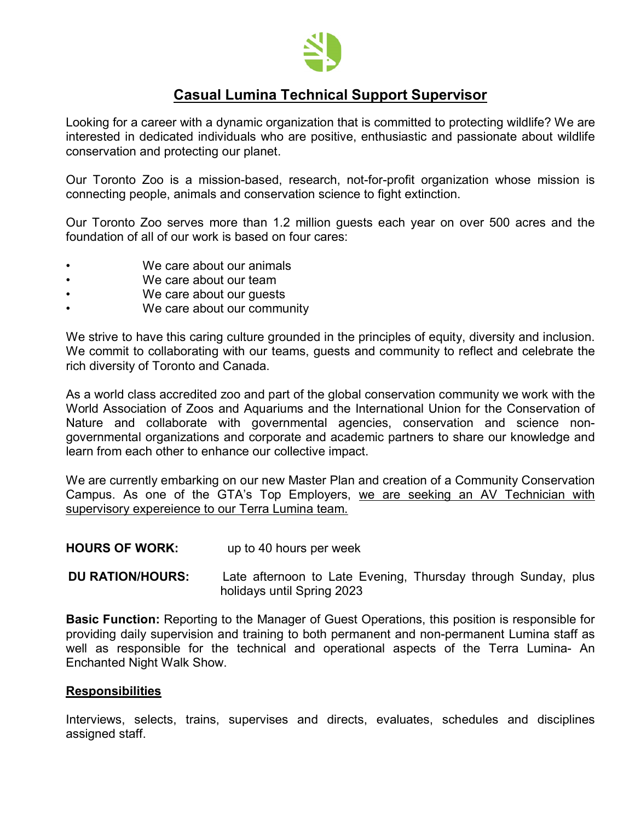

# **Casual Lumina Technical Support Supervisor**

Looking for a career with a dynamic organization that is committed to protecting wildlife? We are interested in dedicated individuals who are positive, enthusiastic and passionate about wildlife conservation and protecting our planet.

Our Toronto Zoo is a mission-based, research, not-for-profit organization whose mission is connecting people, animals and conservation science to fight extinction.

Our Toronto Zoo serves more than 1.2 million guests each year on over 500 acres and the foundation of all of our work is based on four cares:

- We care about our animals
- We care about our team
- We care about our guests
- We care about our community

We strive to have this caring culture grounded in the principles of equity, diversity and inclusion. We commit to collaborating with our teams, guests and community to reflect and celebrate the rich diversity of Toronto and Canada.

As a world class accredited zoo and part of the global conservation community we work with the World Association of Zoos and Aquariums and the International Union for the Conservation of Nature and collaborate with governmental agencies, conservation and science nongovernmental organizations and corporate and academic partners to share our knowledge and learn from each other to enhance our collective impact.

We are currently embarking on our new Master Plan and creation of a Community Conservation Campus. As one of the GTA's Top Employers, we are seeking an AV Technician with supervisory expereience to our Terra Lumina team.

#### **HOURS OF WORK:** up to 40 hours per week

 **DU RATION/HOURS:** Late afternoon to Late Evening, Thursday through Sunday, plus holidays until Spring 2023

**Basic Function:** Reporting to the Manager of Guest Operations, this position is responsible for providing daily supervision and training to both permanent and non-permanent Lumina staff as well as responsible for the technical and operational aspects of the Terra Lumina- An Enchanted Night Walk Show.

#### **Responsibilities**

Interviews, selects, trains, supervises and directs, evaluates, schedules and disciplines assigned staff.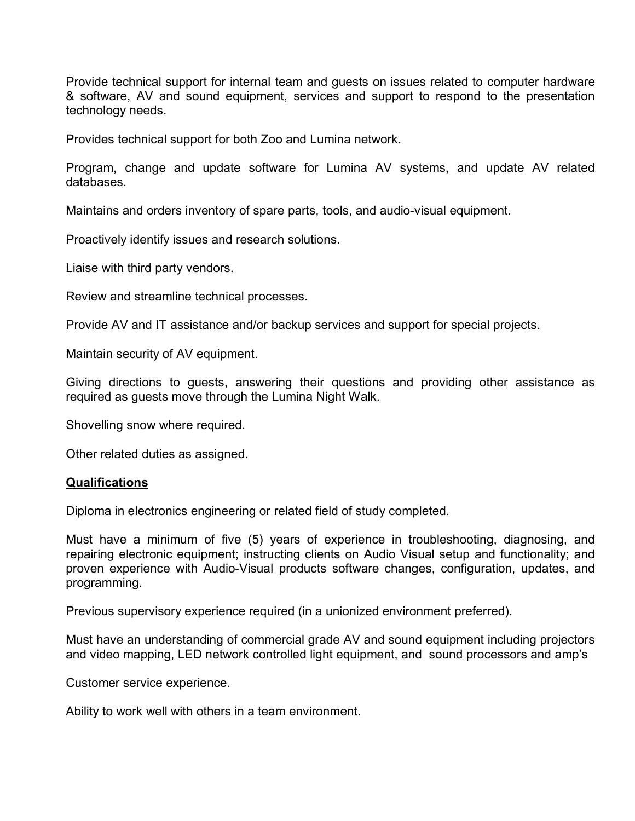Provide technical support for internal team and guests on issues related to computer hardware & software, AV and sound equipment, services and support to respond to the presentation technology needs.

Provides technical support for both Zoo and Lumina network.

Program, change and update software for Lumina AV systems, and update AV related databases.

Maintains and orders inventory of spare parts, tools, and audio-visual equipment.

Proactively identify issues and research solutions.

Liaise with third party vendors.

Review and streamline technical processes.

Provide AV and IT assistance and/or backup services and support for special projects.

Maintain security of AV equipment.

Giving directions to guests, answering their questions and providing other assistance as required as guests move through the Lumina Night Walk.

Shovelling snow where required.

Other related duties as assigned.

#### **Qualifications**

Diploma in electronics engineering or related field of study completed.

Must have a minimum of five (5) years of experience in troubleshooting, diagnosing, and repairing electronic equipment; instructing clients on Audio Visual setup and functionality; and proven experience with Audio-Visual products software changes, configuration, updates, and programming.

Previous supervisory experience required (in a unionized environment preferred).

Must have an understanding of commercial grade AV and sound equipment including projectors and video mapping, LED network controlled light equipment, and sound processors and amp's

Customer service experience.

Ability to work well with others in a team environment.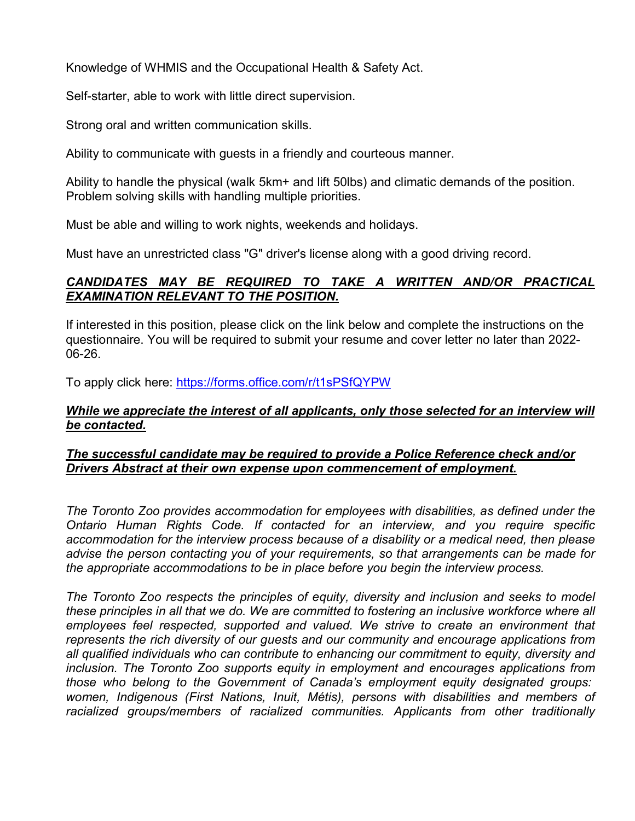Knowledge of WHMIS and the Occupational Health & Safety Act.

Self-starter, able to work with little direct supervision.

Strong oral and written communication skills.

Ability to communicate with guests in a friendly and courteous manner.

Ability to handle the physical (walk 5km+ and lift 50lbs) and climatic demands of the position. Problem solving skills with handling multiple priorities.

Must be able and willing to work nights, weekends and holidays.

Must have an unrestricted class "G" driver's license along with a good driving record.

## *CANDIDATES MAY BE REQUIRED TO TAKE A WRITTEN AND/OR PRACTICAL EXAMINATION RELEVANT TO THE POSITION.*

If interested in this position, please click on the link below and complete the instructions on the questionnaire. You will be required to submit your resume and cover letter no later than 2022- 06-26.

To apply click here:<https://forms.office.com/r/t1sPSfQYPW>

## *While we appreciate the interest of all applicants, only those selected for an interview will be contacted.*

## *The successful candidate may be required to provide a Police Reference check and/or Drivers Abstract at their own expense upon commencement of employment.*

*The Toronto Zoo provides accommodation for employees with disabilities, as defined under the Ontario Human Rights Code. If contacted for an interview, and you require specific accommodation for the interview process because of a disability or a medical need, then please advise the person contacting you of your requirements, so that arrangements can be made for the appropriate accommodations to be in place before you begin the interview process.*

*The Toronto Zoo respects the principles of equity, diversity and inclusion and seeks to model these principles in all that we do. We are committed to fostering an inclusive workforce where all employees feel respected, supported and valued. We strive to create an environment that represents the rich diversity of our guests and our community and encourage applications from all qualified individuals who can contribute to enhancing our commitment to equity, diversity and inclusion. The Toronto Zoo supports equity in employment and encourages applications from those who belong to the Government of Canada's employment equity designated groups: women, Indigenous (First Nations, Inuit, Métis), persons with disabilities and members of racialized groups/members of racialized communities. Applicants from other traditionally*